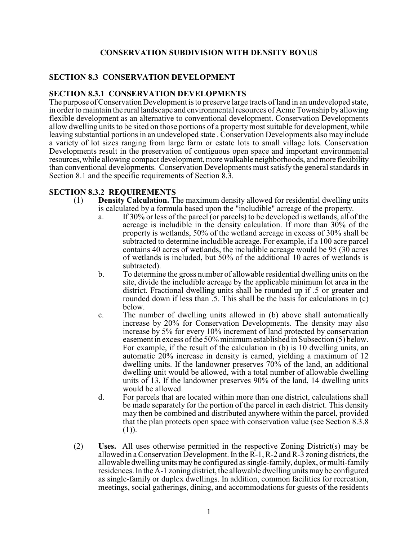## **CONSERVATION SUBDIVISION WITH DENSITY BONUS**

## **SECTION 8.3 CONSERVATION DEVELOPMENT**

## **SECTION 8.3.1 CONSERVATION DEVELOPMENTS**

The purpose of Conservation Development is to preserve large tracts of land in an undeveloped state, in order to maintain the rural landscape and environmental resources of Acme Township by allowing flexible development as an alternative to conventional development. Conservation Developments allow dwelling units to be sited on those portions of a property most suitable for development, while leaving substantial portions in an undeveloped state . Conservation Developments also may include a variety of lot sizes ranging from large farm or estate lots to small village lots. Conservation Developments result in the preservation of contiguous open space and important environmental resources, while allowing compact development, more walkable neighborhoods, and more flexibility than conventional developments. Conservation Developments must satisfy the general standards in Section 8.1 and the specific requirements of Section 8.3.

## **SECTION 8.3.2 REQUIREMENTS**

- (1) **Density Calculation.** The maximum density allowed for residential dwelling units is calculated by a formula based upon the "includible" acreage of the property.
	- a. If 30% or less of the parcel (or parcels) to be developed is wetlands, all of the acreage is includible in the density calculation. If more than 30% of the property is wetlands, 50% of the wetland acreage in excess of 30% shall be subtracted to determine includible acreage. For example, if a 100 acre parcel contains 40 acres of wetlands, the includible acreage would be 95 (30 acres of wetlands is included, but 50% of the additional 10 acres of wetlands is subtracted).
	- b. To determine the gross number of allowable residential dwelling units on the site, divide the includible acreage by the applicable minimum lot area in the district. Fractional dwelling units shall be rounded up if .5 or greater and rounded down if less than .5. This shall be the basis for calculations in (c) below.
	- c. The number of dwelling units allowed in (b) above shall automatically increase by 20% for Conservation Developments. The density may also increase by 5% for every 10% increment of land protected by conservation easement in excess of the 50% minimum established in Subsection (5) below. For example, if the result of the calculation in (b) is 10 dwelling units, an automatic 20% increase in density is earned, yielding a maximum of 12 dwelling units. If the landowner preserves 70% of the land, an additional dwelling unit would be allowed, with a total number of allowable dwelling units of 13. If the landowner preserves 90% of the land, 14 dwelling units would be allowed.
	- d. For parcels that are located within more than one district, calculations shall be made separately for the portion of the parcel in each district. This density may then be combined and distributed anywhere within the parcel, provided that the plan protects open space with conservation value (see Section 8.3.8 (1)).
- (2) **Uses.** All uses otherwise permitted in the respective Zoning District(s) may be allowed in a Conservation Development. In the R-1, R-2 and R-3 zoning districts, the allowable dwelling unitsmay be configured as single-family, duplex, or multi-family residences. In the A-1 zoning district, the allowable dwelling units may be configured as single-family or duplex dwellings. In addition, common facilities for recreation, meetings, social gatherings, dining, and accommodations for guests of the residents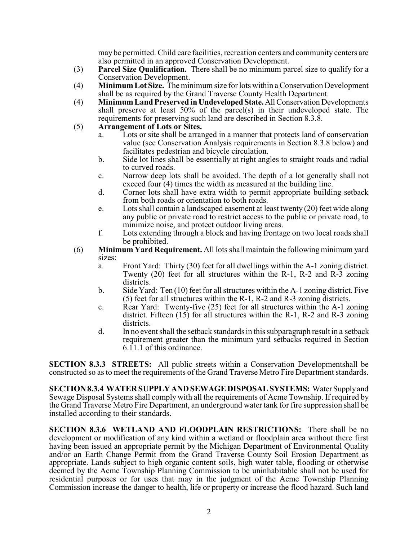may be permitted. Child care facilities, recreation centers and community centers are also permitted in an approved Conservation Development.

- (3) **Parcel Size Qualification.** There shall be no minimum parcel size to qualify for a Conservation Development.
- (4) **Minimum Lot Size.** The minimum size for lots within a Conservation Development shall be as required by the Grand Traverse County Health Department.
- (4) **Minimum Land Preserved in Undeveloped State.** All Conservation Developments shall preserve at least  $50\%$  of the parcel(s) in their undeveloped state. The requirements for preserving such land are described in Section 8.3.8.
- (5) **Arrangement of Lots or Sites.** 
	- a. Lots or site shall be arranged in a manner that protects land of conservation value (see Conservation Analysis requirements in Section 8.3.8 below) and facilitates pedestrian and bicycle circulation.
	- b. Side lot lines shall be essentially at right angles to straight roads and radial to curved roads.
	- c. Narrow deep lots shall be avoided. The depth of a lot generally shall not exceed four (4) times the width as measured at the building line.
	- d. Corner lots shall have extra width to permit appropriate building setback from both roads or orientation to both roads.
	- e. Lots shall contain a landscaped easement at least twenty (20) feet wide along any public or private road to restrict access to the public or private road, to minimize noise, and protect outdoor living areas.
	- f. Lots extending through a block and having frontage on two local roads shall be prohibited.
- (6) **Minimum Yard Requirement.** All lots shall maintain the following minimum yard sizes:
	- a. Front Yard: Thirty (30) feet for all dwellings within the A-1 zoning district. Twenty (20) feet for all structures within the R-1, R-2 and R-3 zoning districts.
	- b. Side Yard: Ten (10) feet for all structures within the A-1 zoning district. Five (5) feet for all structures within the R-1, R-2 and R-3 zoning districts.
	- c. Rear Yard: Twenty-five (25) feet for all structures within the A-1 zoning district. Fifteen  $(15)$  for all structures within the R-1, R-2 and R-3 zoning districts.
	- d. In no event shall the setback standards in this subparagraph result in a setback requirement greater than the minimum yard setbacks required in Section 6.11.1 of this ordinance.

**SECTION 8.3.3 STREETS:** All public streets within a Conservation Developmentshall be constructed so as to meet the requirements of the Grand Traverse Metro Fire Department standards.

**SECTION 8.3.4 WATER SUPPLY AND SEWAGE DISPOSAL SYSTEMS:** Water Supply and Sewage Disposal Systems shall comply with all the requirements of Acme Township. If required by the Grand Traverse Metro Fire Department, an underground water tank for fire suppression shall be installed according to their standards.

**SECTION 8.3.6 WETLAND AND FLOODPLAIN RESTRICTIONS:** There shall be no development or modification of any kind within a wetland or floodplain area without there first having been issued an appropriate permit by the Michigan Department of Environmental Quality and/or an Earth Change Permit from the Grand Traverse County Soil Erosion Department as appropriate. Lands subject to high organic content soils, high water table, flooding or otherwise deemed by the Acme Township Planning Commission to be uninhabitable shall not be used for residential purposes or for uses that may in the judgment of the Acme Township Planning Commission increase the danger to health, life or property or increase the flood hazard. Such land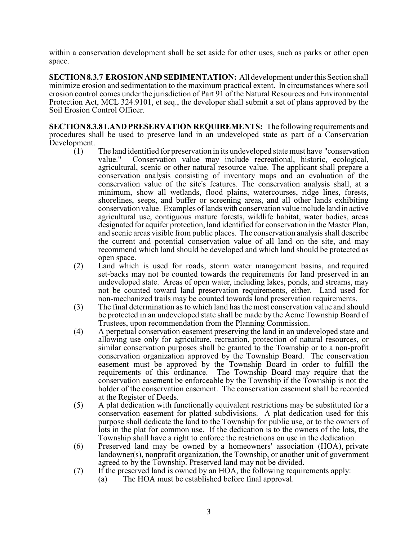within a conservation development shall be set aside for other uses, such as parks or other open space.

**SECTION 8.3.7 EROSION AND SEDIMENTATION:** All development under this Section shall minimize erosion and sedimentation to the maximum practical extent. In circumstances where soil erosion control comes under the jurisdiction of Part 91 of the Natural Resources and Environmental Protection Act, MCL 324.9101, et seq., the developer shall submit a set of plans approved by the Soil Erosion Control Officer.

**SECTION 8.3.8 LAND PRESERVATION REQUIREMENTS:** The following requirements and procedures shall be used to preserve land in an undeveloped state as part of a Conservation Development.

- (1) The land identified for preservation in its undeveloped state must have "conservation value." Conservation value may include recreational, historic, ecological, agricultural, scenic or other natural resource value. The applicant shall prepare a conservation analysis consisting of inventory maps and an evaluation of the conservation value of the site's features. The conservation analysis shall, at a minimum, show all wetlands, flood plains, watercourses, ridge lines, forests, shorelines, seeps, and buffer or screening areas, and all other lands exhibiting conservation value. Examples of lands with conservation value include land in active agricultural use, contiguous mature forests, wildlife habitat, water bodies, areas designated for aquifer protection, land identified for conservation in the Master Plan, and scenic areas visible from public places. The conservation analysis shall describe the current and potential conservation value of all land on the site, and may recommend which land should be developed and which land should be protected as open space.
- (2) Land which is used for roads, storm water management basins, and required set-backs may not be counted towards the requirements for land preserved in an undeveloped state. Areas of open water, including lakes, ponds, and streams, may not be counted toward land preservation requirements, either. Land used for non-mechanized trails may be counted towards land preservation requirements.
- (3) The final determination as to which land has the most conservation value and should be protected in an undeveloped state shall be made by the Acme Township Board of Trustees, upon recommendation from the Planning Commission.
- (4) A perpetual conservation easement preserving the land in an undeveloped state and allowing use only for agriculture, recreation, protection of natural resources, or similar conservation purposes shall be granted to the Township or to a non-profit conservation organization approved by the Township Board. The conservation easement must be approved by the Township Board in order to fulfill the requirements of this ordinance. The Township Board may require that the conservation easement be enforceable by the Township if the Township is not the holder of the conservation easement. The conservation easement shall be recorded at the Register of Deeds.
- (5) A plat dedication with functionally equivalent restrictions may be substituted for a conservation easement for platted subdivisions. A plat dedication used for this purpose shall dedicate the land to the Township for public use, or to the owners of lots in the plat for common use. If the dedication is to the owners of the lots, the Township shall have a right to enforce the restrictions on use in the dedication.
- (6) Preserved land may be owned by a homeowners' association (HOA), private landowner(s), nonprofit organization, the Township, or another unit of government agreed to by the Township. Preserved land may not be divided.
- (7) If the preserved land is owned by an HOA, the following requirements apply:
	- (a) The HOA must be established before final approval.